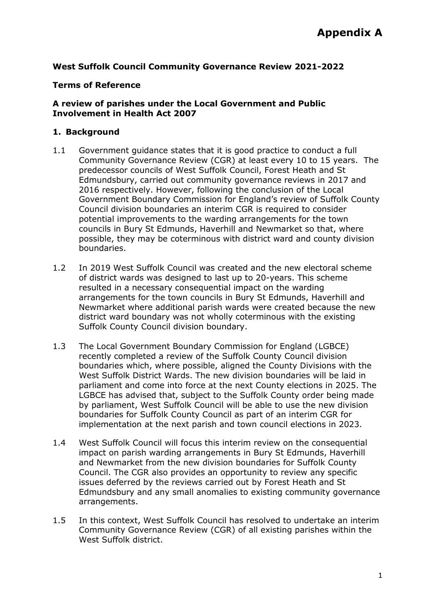# **West Suffolk Council Community Governance Review 2021-2022**

#### **Terms of Reference**

### **A review of parishes under the Local Government and Public Involvement in Health Act 2007**

#### **1. Background**

- 1.1 Government guidance states that it is good practice to conduct a full Community Governance Review (CGR) at least every 10 to 15 years. The predecessor councils of West Suffolk Council, Forest Heath and St Edmundsbury, carried out community governance reviews in 2017 and 2016 respectively. However, following the conclusion of the Local Government Boundary Commission for England's review of Suffolk County Council division boundaries an interim CGR is required to consider potential improvements to the warding arrangements for the town councils in Bury St Edmunds, Haverhill and Newmarket so that, where possible, they may be coterminous with district ward and county division boundaries.
- 1.2 In 2019 West Suffolk Council was created and the new electoral scheme of district wards was designed to last up to 20-years. This scheme resulted in a necessary consequential impact on the warding arrangements for the town councils in Bury St Edmunds, Haverhill and Newmarket where additional parish wards were created because the new district ward boundary was not wholly coterminous with the existing Suffolk County Council division boundary.
- 1.3 The Local Government Boundary Commission for England (LGBCE) recently completed a review of the Suffolk County Council division boundaries which, where possible, aligned the County Divisions with the West Suffolk District Wards. The new division boundaries will be laid in parliament and come into force at the next County elections in 2025. The LGBCE has advised that, subject to the Suffolk County order being made by parliament, West Suffolk Council will be able to use the new division boundaries for Suffolk County Council as part of an interim CGR for implementation at the next parish and town council elections in 2023.
- 1.4 West Suffolk Council will focus this interim review on the consequential impact on parish warding arrangements in Bury St Edmunds, Haverhill and Newmarket from the new division boundaries for Suffolk County Council. The CGR also provides an opportunity to review any specific issues deferred by the reviews carried out by Forest Heath and St Edmundsbury and any small anomalies to existing community governance arrangements.
- 1.5 In this context, West Suffolk Council has resolved to undertake an interim Community Governance Review (CGR) of all existing parishes within the West Suffolk district.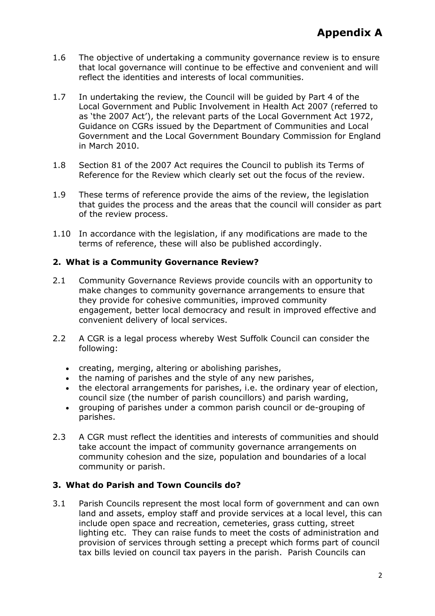- 1.6 The objective of undertaking a community governance review is to ensure that local governance will continue to be effective and convenient and will reflect the identities and interests of local communities.
- 1.7 In undertaking the review, the Council will be guided by Part 4 of the Local Government and Public Involvement in Health Act 2007 (referred to as 'the 2007 Act'), the relevant parts of the Local Government Act 1972, Guidance on CGRs issued by the Department of Communities and Local Government and the Local Government Boundary Commission for England in March 2010.
- 1.8 Section 81 of the 2007 Act requires the Council to publish its Terms of Reference for the Review which clearly set out the focus of the review.
- 1.9 These terms of reference provide the aims of the review, the legislation that guides the process and the areas that the council will consider as part of the review process.
- 1.10 In accordance with the legislation, if any modifications are made to the terms of reference, these will also be published accordingly.

# **2. What is a Community Governance Review?**

- 2.1 Community Governance Reviews provide councils with an opportunity to make changes to community governance arrangements to ensure that they provide for cohesive communities, improved community engagement, better local democracy and result in improved effective and convenient delivery of local services.
- 2.2 A CGR is a legal process whereby West Suffolk Council can consider the following:
	- creating, merging, altering or abolishing parishes,
	- the naming of parishes and the style of any new parishes,
	- the electoral arrangements for parishes, i.e. the ordinary year of election, council size (the number of parish councillors) and parish warding,
	- grouping of parishes under a common parish council or de-grouping of parishes.
- 2.3 A CGR must reflect the identities and interests of communities and should take account the impact of community governance arrangements on community cohesion and the size, population and boundaries of a local community or parish.

# **3. What do Parish and Town Councils do?**

3.1 Parish Councils represent the most local form of government and can own land and assets, employ staff and provide services at a local level, this can include open space and recreation, cemeteries, grass cutting, street lighting etc. They can raise funds to meet the costs of administration and provision of services through setting a precept which forms part of council tax bills levied on council tax payers in the parish. Parish Councils can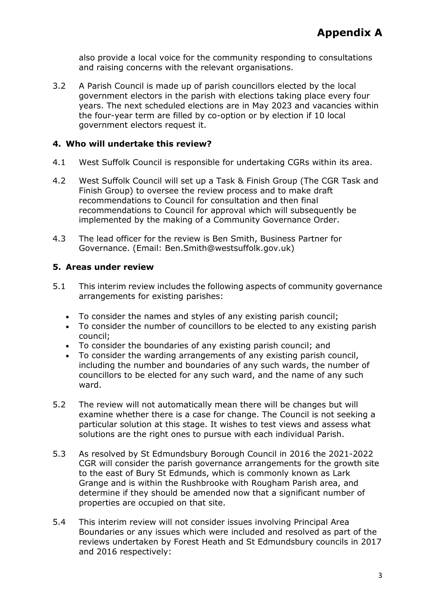also provide a local voice for the community responding to consultations and raising concerns with the relevant organisations.

3.2 A Parish Council is made up of parish councillors elected by the local government electors in the parish with elections taking place every four years. The next scheduled elections are in May 2023 and vacancies within the four-year term are filled by co-option or by election if 10 local government electors request it.

# **4. Who will undertake this review?**

- 4.1 West Suffolk Council is responsible for undertaking CGRs within its area.
- 4.2 West Suffolk Council will set up a Task & Finish Group (The CGR Task and Finish Group) to oversee the review process and to make draft recommendations to Council for consultation and then final recommendations to Council for approval which will subsequently be implemented by the making of a Community Governance Order.
- 4.3 The lead officer for the review is Ben Smith, Business Partner for Governance. (Email: [Ben.Smith@westsuffolk.gov.uk\)](mailto:Ben.Smith@westsuffolk.gov.uk)

### **5. Areas under review**

- 5.1 This interim review includes the following aspects of community governance arrangements for existing parishes:
	- To consider the names and styles of any existing parish council;
	- To consider the number of councillors to be elected to any existing parish council;
	- To consider the boundaries of any existing parish council; and
	- To consider the warding arrangements of any existing parish council, including the number and boundaries of any such wards, the number of councillors to be elected for any such ward, and the name of any such ward.
- 5.2 The review will not automatically mean there will be changes but will examine whether there is a case for change. The Council is not seeking a particular solution at this stage. It wishes to test views and assess what solutions are the right ones to pursue with each individual Parish.
- 5.3 As resolved by St Edmundsbury Borough Council in 2016 the 2021-2022 CGR will consider the parish governance arrangements for the growth site to the east of Bury St Edmunds, which is commonly known as Lark Grange and is within the Rushbrooke with Rougham Parish area, and determine if they should be amended now that a significant number of properties are occupied on that site.
- 5.4 This interim review will not consider issues involving Principal Area Boundaries or any issues which were included and resolved as part of the reviews undertaken by Forest Heath and St Edmundsbury councils in 2017 and 2016 respectively: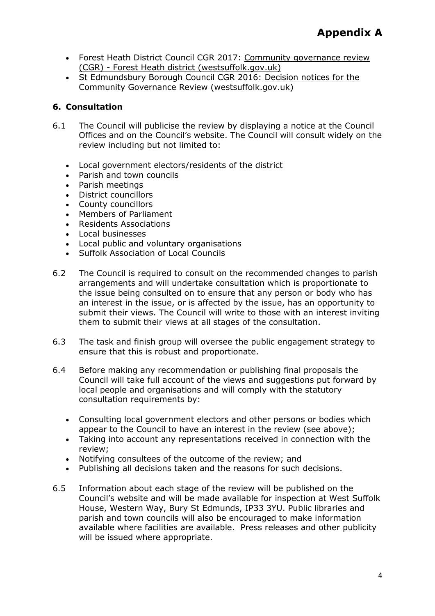- Forest Heath District Council CGR 2017: [Community governance review](https://www.westsuffolk.gov.uk/community/cgrforestheath.cfm)  (CGR) - [Forest Heath district \(westsuffolk.gov.uk\)](https://www.westsuffolk.gov.uk/community/cgrforestheath.cfm)
- St Edmundsbury Borough Council CGR 2016: [Decision notices for the](https://www.westsuffolk.gov.uk/community/cgrdecisionnotices.cfm)  [Community Governance Review \(westsuffolk.gov.uk\)](https://www.westsuffolk.gov.uk/community/cgrdecisionnotices.cfm)

# **6. Consultation**

- 6.1 The Council will publicise the review by displaying a notice at the Council Offices and on the Council's website. The Council will consult widely on the review including but not limited to:
	- Local government electors/residents of the district
	- Parish and town councils
	- Parish meetings
	- District councillors
	- County councillors
	- Members of Parliament
	- Residents Associations
	- Local businesses
	- Local public and voluntary organisations
	- Suffolk Association of Local Councils
- 6.2 The Council is required to consult on the recommended changes to parish arrangements and will undertake consultation which is proportionate to the issue being consulted on to ensure that any person or body who has an interest in the issue, or is affected by the issue, has an opportunity to submit their views. The Council will write to those with an interest inviting them to submit their views at all stages of the consultation.
- 6.3 The task and finish group will oversee the public engagement strategy to ensure that this is robust and proportionate.
- 6.4 Before making any recommendation or publishing final proposals the Council will take full account of the views and suggestions put forward by local people and organisations and will comply with the statutory consultation requirements by:
	- Consulting local government electors and other persons or bodies which appear to the Council to have an interest in the review (see above);
	- Taking into account any representations received in connection with the review;
	- Notifying consultees of the outcome of the review; and
	- Publishing all decisions taken and the reasons for such decisions.
- 6.5 Information about each stage of the review will be published on the Council's website and will be made available for inspection at West Suffolk House, Western Way, Bury St Edmunds, IP33 3YU. Public libraries and parish and town councils will also be encouraged to make information available where facilities are available. Press releases and other publicity will be issued where appropriate.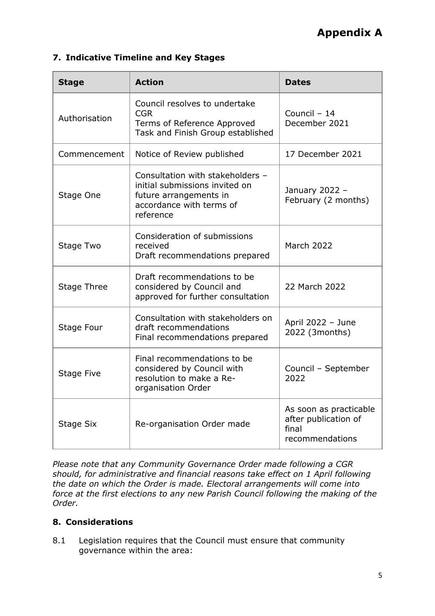# **Appendix A**

# **7. Indicative Timeline and Key Stages**

| <b>Stage</b>       | <b>Action</b>                                                                                                                         | <b>Dates</b>                                                               |
|--------------------|---------------------------------------------------------------------------------------------------------------------------------------|----------------------------------------------------------------------------|
| Authorisation      | Council resolves to undertake<br><b>CGR</b><br>Terms of Reference Approved<br>Task and Finish Group established                       | Council - 14<br>December 2021                                              |
| Commencement       | Notice of Review published                                                                                                            | 17 December 2021                                                           |
| Stage One          | Consultation with stakeholders -<br>initial submissions invited on<br>future arrangements in<br>accordance with terms of<br>reference | January 2022 -<br>February (2 months)                                      |
| Stage Two          | Consideration of submissions<br>received<br>Draft recommendations prepared                                                            | <b>March 2022</b>                                                          |
| <b>Stage Three</b> | Draft recommendations to be<br>considered by Council and<br>approved for further consultation                                         | 22 March 2022                                                              |
| Stage Four         | Consultation with stakeholders on<br>draft recommendations<br>Final recommendations prepared                                          | April 2022 - June<br>2022 (3months)                                        |
| Stage Five         | Final recommendations to be<br>considered by Council with<br>resolution to make a Re-<br>organisation Order                           | Council - September<br>2022                                                |
| Stage Six          | Re-organisation Order made                                                                                                            | As soon as practicable<br>after publication of<br>final<br>recommendations |

*Please note that any Community Governance Order made following a CGR should, for administrative and financial reasons take effect on 1 April following the date on which the Order is made. Electoral arrangements will come into force at the first elections to any new Parish Council following the making of the Order.* 

# **8. Considerations**

8.1 Legislation requires that the Council must ensure that community governance within the area: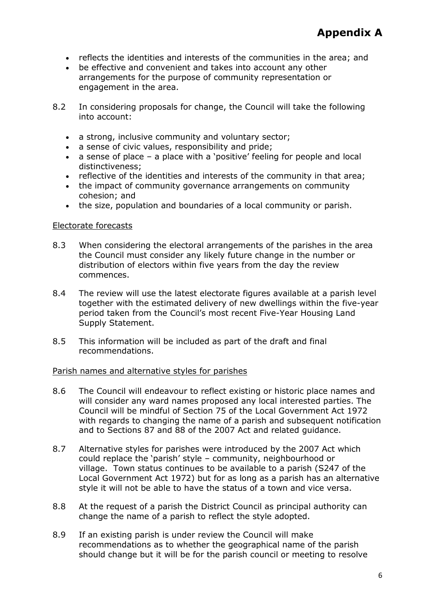- reflects the identities and interests of the communities in the area; and
- be effective and convenient and takes into account any other arrangements for the purpose of community representation or engagement in the area.
- 8.2 In considering proposals for change, the Council will take the following into account:
	- a strong, inclusive community and voluntary sector;
	- a sense of civic values, responsibility and pride;
	- a sense of place a place with a 'positive' feeling for people and local distinctiveness;
	- reflective of the identities and interests of the community in that area;
	- the impact of community governance arrangements on community cohesion; and
	- the size, population and boundaries of a local community or parish.

### Electorate forecasts

- 8.3 When considering the electoral arrangements of the parishes in the area the Council must consider any likely future change in the number or distribution of electors within five years from the day the review commences.
- 8.4 The review will use the latest electorate figures available at a parish level together with the estimated delivery of new dwellings within the five-year period taken from the Council's most recent Five-Year Housing Land Supply Statement.
- 8.5 This information will be included as part of the draft and final recommendations.

#### Parish names and alternative styles for parishes

- 8.6 The Council will endeavour to reflect existing or historic place names and will consider any ward names proposed any local interested parties. The Council will be mindful of Section 75 of the Local Government Act 1972 with regards to changing the name of a parish and subsequent notification and to Sections 87 and 88 of the 2007 Act and related guidance.
- 8.7 Alternative styles for parishes were introduced by the 2007 Act which could replace the 'parish' style – community, neighbourhood or village. Town status continues to be available to a parish (S247 of the Local Government Act 1972) but for as long as a parish has an alternative style it will not be able to have the status of a town and vice versa.
- 8.8 At the request of a parish the District Council as principal authority can change the name of a parish to reflect the style adopted.
- 8.9 If an existing parish is under review the Council will make recommendations as to whether the geographical name of the parish should change but it will be for the parish council or meeting to resolve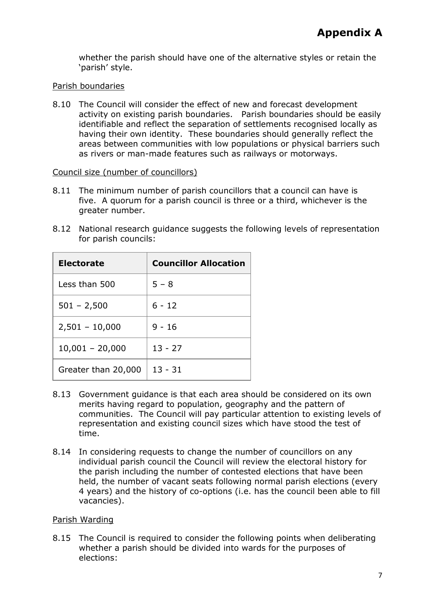whether the parish should have one of the alternative styles or retain the 'parish' style.

# Parish boundaries

8.10 The Council will consider the effect of new and forecast development activity on existing parish boundaries. Parish boundaries should be easily identifiable and reflect the separation of settlements recognised locally as having their own identity. These boundaries should generally reflect the areas between communities with low populations or physical barriers such as rivers or man-made features such as railways or motorways.

### Council size (number of councillors)

- 8.11 The minimum number of parish councillors that a council can have is five. A quorum for a parish council is three or a third, whichever is the greater number.
- 8.12 National research guidance suggests the following levels of representation for parish councils:

| <b>Electorate</b>   | <b>Councillor Allocation</b> |
|---------------------|------------------------------|
| Less than 500       | $5 - 8$                      |
| $501 - 2,500$       | $6 - 12$                     |
| $2,501 - 10,000$    | $9 - 16$                     |
| $10,001 - 20,000$   | $13 - 27$                    |
| Greater than 20,000 | $13 - 31$                    |

- 8.13 Government guidance is that each area should be considered on its own merits having regard to population, geography and the pattern of communities. The Council will pay particular attention to existing levels of representation and existing council sizes which have stood the test of time.
- 8.14 In considering requests to change the number of councillors on any individual parish council the Council will review the electoral history for the parish including the number of contested elections that have been held, the number of vacant seats following normal parish elections (every 4 years) and the history of co-options (i.e. has the council been able to fill vacancies).

# Parish Warding

8.15 The Council is required to consider the following points when deliberating whether a parish should be divided into wards for the purposes of elections: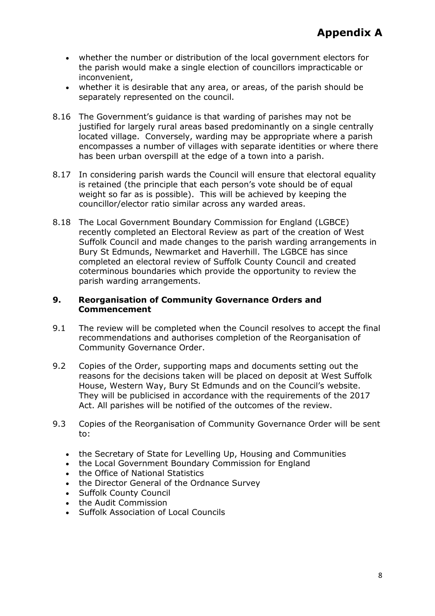- whether the number or distribution of the local government electors for the parish would make a single election of councillors impracticable or inconvenient,
- whether it is desirable that any area, or areas, of the parish should be separately represented on the council.
- 8.16 The Government's guidance is that warding of parishes may not be justified for largely rural areas based predominantly on a single centrally located village. Conversely, warding may be appropriate where a parish encompasses a number of villages with separate identities or where there has been urban overspill at the edge of a town into a parish.
- 8.17 In considering parish wards the Council will ensure that electoral equality is retained (the principle that each person's vote should be of equal weight so far as is possible). This will be achieved by keeping the councillor/elector ratio similar across any warded areas.
- 8.18 The Local Government Boundary Commission for England (LGBCE) recently completed an Electoral Review as part of the creation of West Suffolk Council and made changes to the parish warding arrangements in Bury St Edmunds, Newmarket and Haverhill. The LGBCE has since completed an electoral review of Suffolk County Council and created coterminous boundaries which provide the opportunity to review the parish warding arrangements.

### **9. Reorganisation of Community Governance Orders and Commencement**

- 9.1 The review will be completed when the Council resolves to accept the final recommendations and authorises completion of the Reorganisation of Community Governance Order.
- 9.2 Copies of the Order, supporting maps and documents setting out the reasons for the decisions taken will be placed on deposit at West Suffolk House, Western Way, Bury St Edmunds and on the Council's website. They will be publicised in accordance with the requirements of the 2017 Act. All parishes will be notified of the outcomes of the review.
- 9.3 Copies of the Reorganisation of Community Governance Order will be sent to:
	- the Secretary of State for Levelling Up, Housing and Communities
	- the Local Government Boundary Commission for England
	- the Office of National Statistics
	- the Director General of the Ordnance Survey
	- Suffolk County Council
	- the Audit Commission
	- Suffolk Association of Local Councils